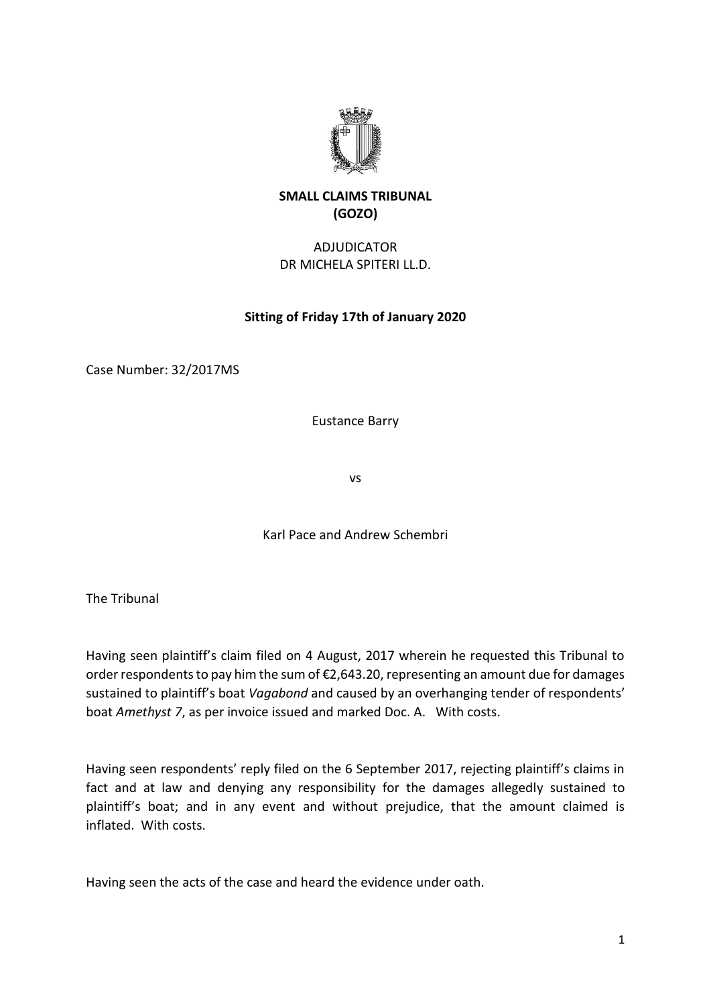

## **SMALL CLAIMS TRIBUNAL (GOZO)**

# ADJUDICATOR DR MICHELA SPITERI LL.D.

## **Sitting of Friday 17th of January 2020**

Case Number: 32/2017MS

Eustance Barry

vs

Karl Pace and Andrew Schembri

The Tribunal

Having seen plaintiff's claim filed on 4 August, 2017 wherein he requested this Tribunal to order respondents to pay him the sum of €2,643.20, representing an amount due for damages sustained to plaintiff's boat *Vagabond* and caused by an overhanging tender of respondents' boat *Amethyst 7*, as per invoice issued and marked Doc. A. With costs.

Having seen respondents' reply filed on the 6 September 2017, rejecting plaintiff's claims in fact and at law and denying any responsibility for the damages allegedly sustained to plaintiff's boat; and in any event and without prejudice, that the amount claimed is inflated. With costs.

Having seen the acts of the case and heard the evidence under oath.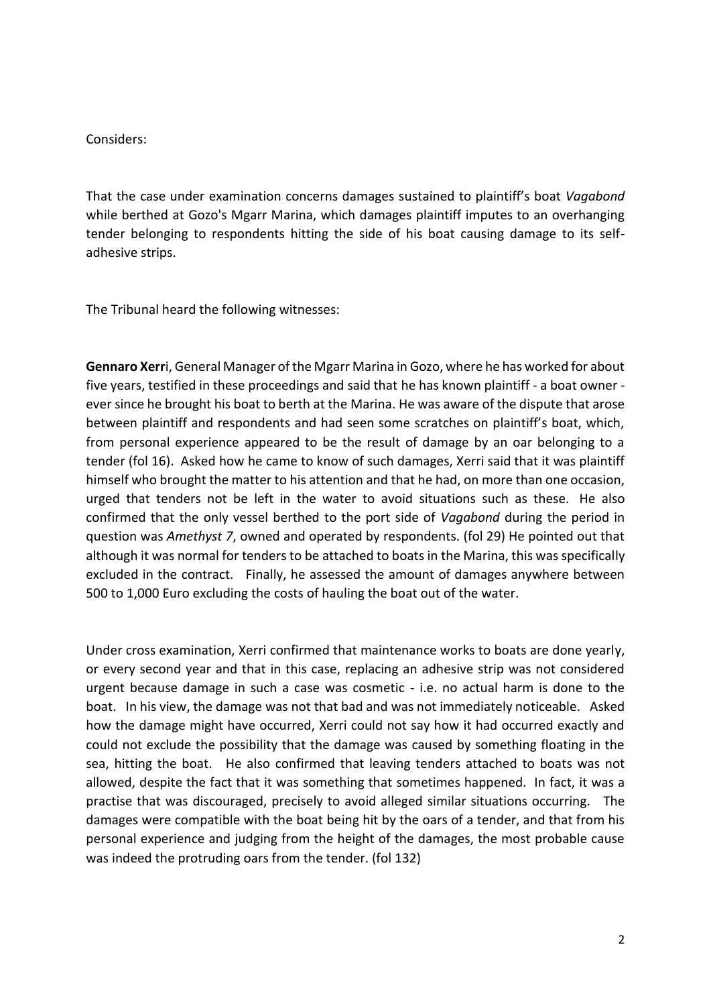#### Considers:

That the case under examination concerns damages sustained to plaintiff's boat *Vagabond* while berthed at Gozo's Mgarr Marina, which damages plaintiff imputes to an overhanging tender belonging to respondents hitting the side of his boat causing damage to its selfadhesive strips.

The Tribunal heard the following witnesses:

**Gennaro Xerr**i, General Manager of the Mgarr Marina in Gozo, where he has worked for about five years, testified in these proceedings and said that he has known plaintiff - a boat owner ever since he brought his boat to berth at the Marina. He was aware of the dispute that arose between plaintiff and respondents and had seen some scratches on plaintiff's boat, which, from personal experience appeared to be the result of damage by an oar belonging to a tender (fol 16). Asked how he came to know of such damages, Xerri said that it was plaintiff himself who brought the matter to his attention and that he had, on more than one occasion, urged that tenders not be left in the water to avoid situations such as these. He also confirmed that the only vessel berthed to the port side of *Vagabond* during the period in question was *Amethyst 7*, owned and operated by respondents. (fol 29) He pointed out that although it was normal for tenders to be attached to boats in the Marina, this was specifically excluded in the contract. Finally, he assessed the amount of damages anywhere between 500 to 1,000 Euro excluding the costs of hauling the boat out of the water.

Under cross examination, Xerri confirmed that maintenance works to boats are done yearly, or every second year and that in this case, replacing an adhesive strip was not considered urgent because damage in such a case was cosmetic - i.e. no actual harm is done to the boat. In his view, the damage was not that bad and was not immediately noticeable. Asked how the damage might have occurred, Xerri could not say how it had occurred exactly and could not exclude the possibility that the damage was caused by something floating in the sea, hitting the boat. He also confirmed that leaving tenders attached to boats was not allowed, despite the fact that it was something that sometimes happened. In fact, it was a practise that was discouraged, precisely to avoid alleged similar situations occurring. The damages were compatible with the boat being hit by the oars of a tender, and that from his personal experience and judging from the height of the damages, the most probable cause was indeed the protruding oars from the tender. (fol 132)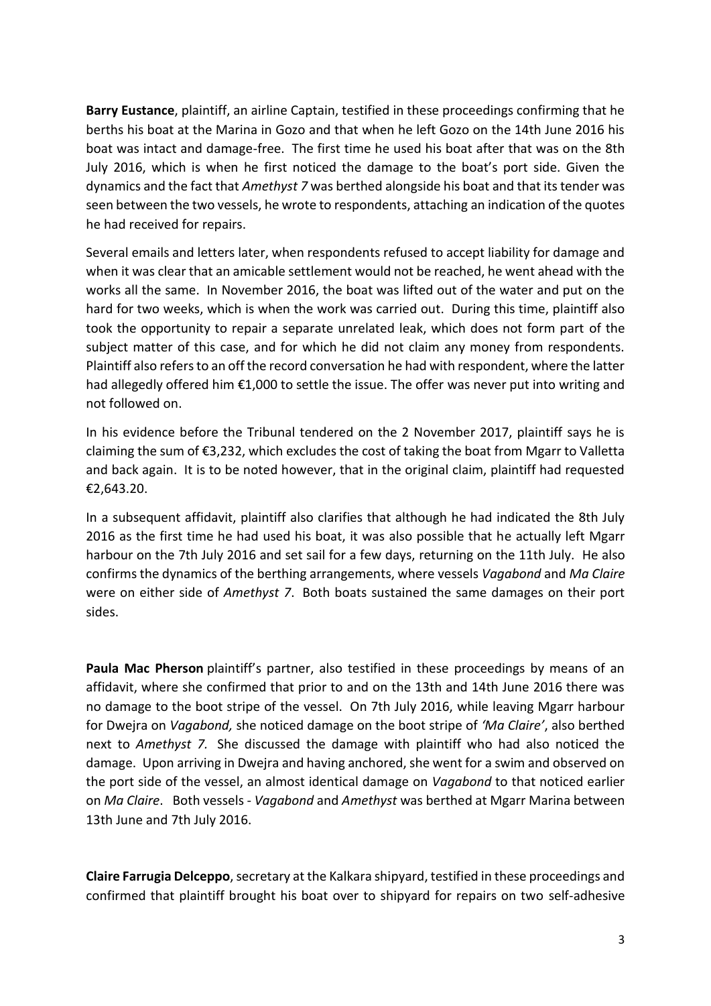**Barry Eustance**, plaintiff, an airline Captain, testified in these proceedings confirming that he berths his boat at the Marina in Gozo and that when he left Gozo on the 14th June 2016 his boat was intact and damage-free. The first time he used his boat after that was on the 8th July 2016, which is when he first noticed the damage to the boat's port side. Given the dynamics and the fact that *Amethyst 7* was berthed alongside his boat and that its tender was seen between the two vessels, he wrote to respondents, attaching an indication of the quotes he had received for repairs.

Several emails and letters later, when respondents refused to accept liability for damage and when it was clear that an amicable settlement would not be reached, he went ahead with the works all the same. In November 2016, the boat was lifted out of the water and put on the hard for two weeks, which is when the work was carried out. During this time, plaintiff also took the opportunity to repair a separate unrelated leak, which does not form part of the subject matter of this case, and for which he did not claim any money from respondents. Plaintiff also refers to an off the record conversation he had with respondent, where the latter had allegedly offered him €1,000 to settle the issue. The offer was never put into writing and not followed on.

In his evidence before the Tribunal tendered on the 2 November 2017, plaintiff says he is claiming the sum of €3,232, which excludes the cost of taking the boat from Mgarr to Valletta and back again. It is to be noted however, that in the original claim, plaintiff had requested €2,643.20.

In a subsequent affidavit, plaintiff also clarifies that although he had indicated the 8th July 2016 as the first time he had used his boat, it was also possible that he actually left Mgarr harbour on the 7th July 2016 and set sail for a few days, returning on the 11th July. He also confirms the dynamics of the berthing arrangements, where vessels *Vagabond* and *Ma Claire* were on either side of *Amethyst 7*. Both boats sustained the same damages on their port sides.

**Paula Mac Pherson** plaintiff's partner, also testified in these proceedings by means of an affidavit, where she confirmed that prior to and on the 13th and 14th June 2016 there was no damage to the boot stripe of the vessel. On 7th July 2016, while leaving Mgarr harbour for Dwejra on *Vagabond,* she noticed damage on the boot stripe of *'Ma Claire'*, also berthed next to *Amethyst 7.* She discussed the damage with plaintiff who had also noticed the damage. Upon arriving in Dwejra and having anchored, she went for a swim and observed on the port side of the vessel, an almost identical damage on *Vagabond* to that noticed earlier on *Ma Claire*. Both vessels - *Vagabond* and *Amethyst* was berthed at Mgarr Marina between 13th June and 7th July 2016.

**Claire Farrugia Delceppo**, secretary at the Kalkara shipyard, testified in these proceedings and confirmed that plaintiff brought his boat over to shipyard for repairs on two self-adhesive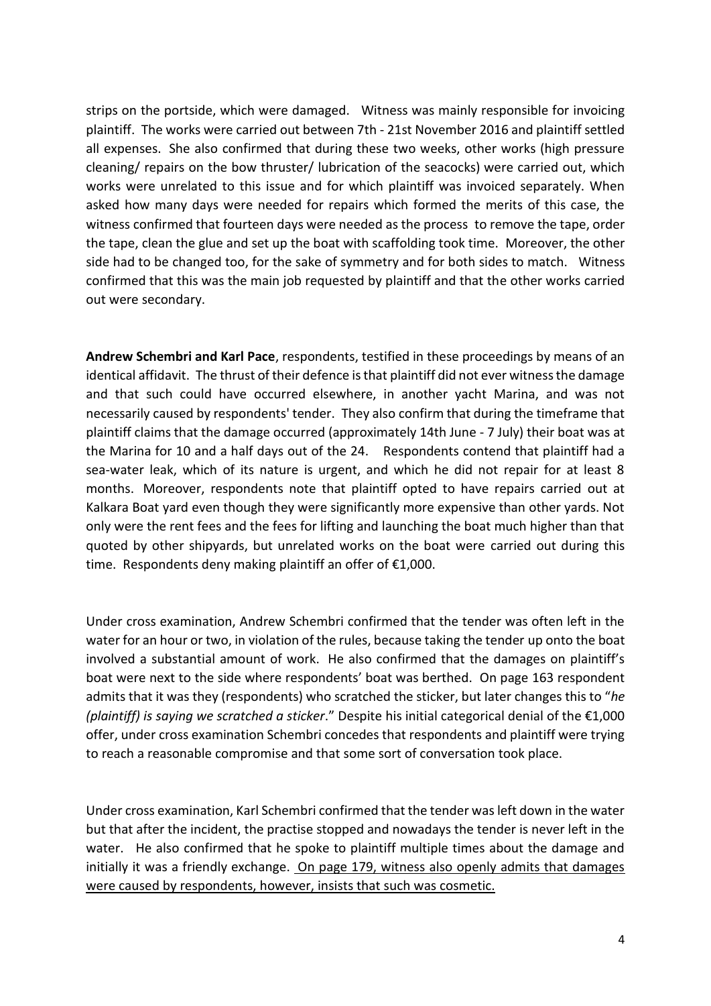strips on the portside, which were damaged. Witness was mainly responsible for invoicing plaintiff. The works were carried out between 7th - 21st November 2016 and plaintiff settled all expenses. She also confirmed that during these two weeks, other works (high pressure cleaning/ repairs on the bow thruster/ lubrication of the seacocks) were carried out, which works were unrelated to this issue and for which plaintiff was invoiced separately. When asked how many days were needed for repairs which formed the merits of this case, the witness confirmed that fourteen days were needed as the process to remove the tape, order the tape, clean the glue and set up the boat with scaffolding took time. Moreover, the other side had to be changed too, for the sake of symmetry and for both sides to match. Witness confirmed that this was the main job requested by plaintiff and that the other works carried out were secondary.

**Andrew Schembri and Karl Pace**, respondents, testified in these proceedings by means of an identical affidavit. The thrust of their defence is that plaintiff did not ever witness the damage and that such could have occurred elsewhere, in another yacht Marina, and was not necessarily caused by respondents' tender. They also confirm that during the timeframe that plaintiff claims that the damage occurred (approximately 14th June - 7 July) their boat was at the Marina for 10 and a half days out of the 24. Respondents contend that plaintiff had a sea-water leak, which of its nature is urgent, and which he did not repair for at least 8 months. Moreover, respondents note that plaintiff opted to have repairs carried out at Kalkara Boat yard even though they were significantly more expensive than other yards. Not only were the rent fees and the fees for lifting and launching the boat much higher than that quoted by other shipyards, but unrelated works on the boat were carried out during this time. Respondents deny making plaintiff an offer of €1,000.

Under cross examination, Andrew Schembri confirmed that the tender was often left in the water for an hour or two, in violation of the rules, because taking the tender up onto the boat involved a substantial amount of work. He also confirmed that the damages on plaintiff's boat were next to the side where respondents' boat was berthed. On page 163 respondent admits that it was they (respondents) who scratched the sticker, but later changes this to "*he (plaintiff) is saying we scratched a sticker*." Despite his initial categorical denial of the €1,000 offer, under cross examination Schembri concedes that respondents and plaintiff were trying to reach a reasonable compromise and that some sort of conversation took place.

Under cross examination, Karl Schembri confirmed that the tender was left down in the water but that after the incident, the practise stopped and nowadays the tender is never left in the water. He also confirmed that he spoke to plaintiff multiple times about the damage and initially it was a friendly exchange. On page 179, witness also openly admits that damages were caused by respondents, however, insists that such was cosmetic.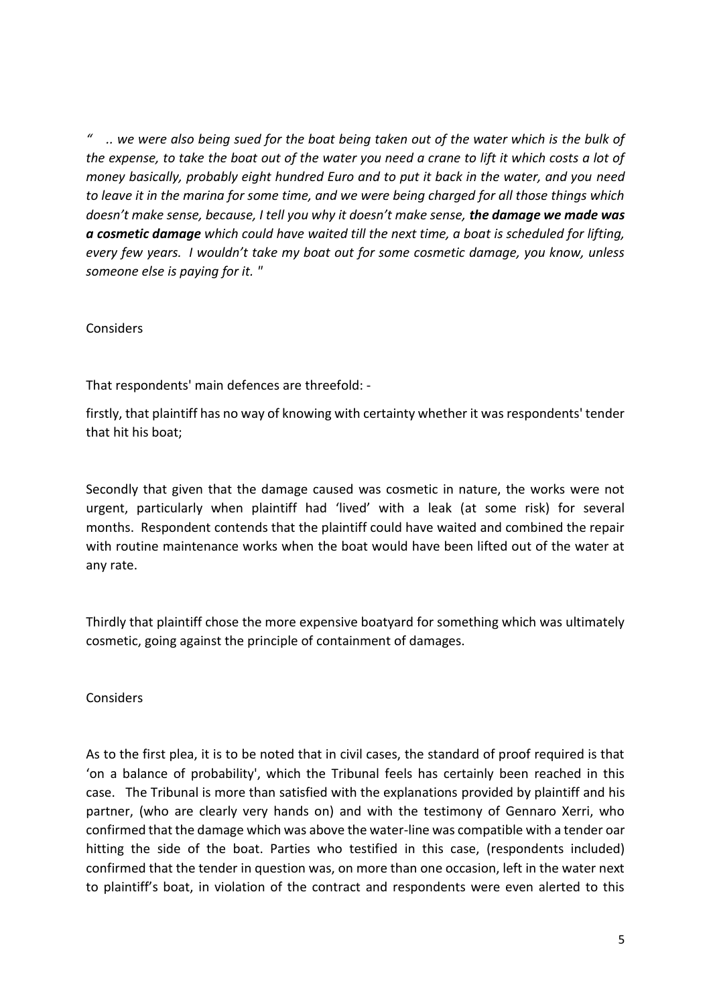*" .. we were also being sued for the boat being taken out of the water which is the bulk of the expense, to take the boat out of the water you need a crane to lift it which costs a lot of money basically, probably eight hundred Euro and to put it back in the water, and you need to leave it in the marina for some time, and we were being charged for all those things which doesn't make sense, because, I tell you why it doesn't make sense, the damage we made was a cosmetic damage which could have waited till the next time, a boat is scheduled for lifting, every few years. I wouldn't take my boat out for some cosmetic damage, you know, unless someone else is paying for it. "*

Considers

That respondents' main defences are threefold: -

firstly, that plaintiff has no way of knowing with certainty whether it was respondents' tender that hit his boat;

Secondly that given that the damage caused was cosmetic in nature, the works were not urgent, particularly when plaintiff had 'lived' with a leak (at some risk) for several months. Respondent contends that the plaintiff could have waited and combined the repair with routine maintenance works when the boat would have been lifted out of the water at any rate.

Thirdly that plaintiff chose the more expensive boatyard for something which was ultimately cosmetic, going against the principle of containment of damages.

Considers

As to the first plea, it is to be noted that in civil cases, the standard of proof required is that 'on a balance of probability', which the Tribunal feels has certainly been reached in this case. The Tribunal is more than satisfied with the explanations provided by plaintiff and his partner, (who are clearly very hands on) and with the testimony of Gennaro Xerri, who confirmed that the damage which was above the water-line was compatible with a tender oar hitting the side of the boat. Parties who testified in this case, (respondents included) confirmed that the tender in question was, on more than one occasion, left in the water next to plaintiff's boat, in violation of the contract and respondents were even alerted to this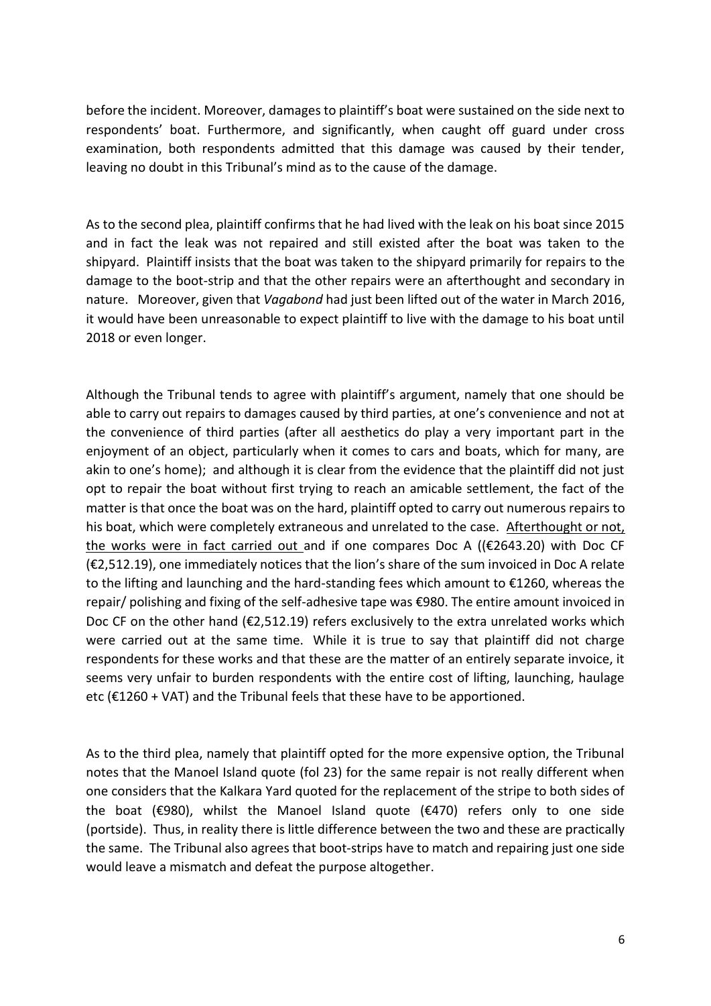before the incident. Moreover, damages to plaintiff's boat were sustained on the side next to respondents' boat. Furthermore, and significantly, when caught off guard under cross examination, both respondents admitted that this damage was caused by their tender, leaving no doubt in this Tribunal's mind as to the cause of the damage.

As to the second plea, plaintiff confirms that he had lived with the leak on his boat since 2015 and in fact the leak was not repaired and still existed after the boat was taken to the shipyard. Plaintiff insists that the boat was taken to the shipyard primarily for repairs to the damage to the boot-strip and that the other repairs were an afterthought and secondary in nature. Moreover, given that *Vagabond* had just been lifted out of the water in March 2016, it would have been unreasonable to expect plaintiff to live with the damage to his boat until 2018 or even longer.

Although the Tribunal tends to agree with plaintiff's argument, namely that one should be able to carry out repairs to damages caused by third parties, at one's convenience and not at the convenience of third parties (after all aesthetics do play a very important part in the enjoyment of an object, particularly when it comes to cars and boats, which for many, are akin to one's home); and although it is clear from the evidence that the plaintiff did not just opt to repair the boat without first trying to reach an amicable settlement, the fact of the matter is that once the boat was on the hard, plaintiff opted to carry out numerous repairs to his boat, which were completely extraneous and unrelated to the case. Afterthought or not, the works were in fact carried out and if one compares Doc A ( $(E2643.20)$  with Doc CF (€2,512.19), one immediately notices that the lion's share of the sum invoiced in Doc A relate to the lifting and launching and the hard-standing fees which amount to €1260, whereas the repair/ polishing and fixing of the self-adhesive tape was €980. The entire amount invoiced in Doc CF on the other hand ( $\epsilon$ 2,512.19) refers exclusively to the extra unrelated works which were carried out at the same time. While it is true to say that plaintiff did not charge respondents for these works and that these are the matter of an entirely separate invoice, it seems very unfair to burden respondents with the entire cost of lifting, launching, haulage etc ( $\epsilon$ 1260 + VAT) and the Tribunal feels that these have to be apportioned.

As to the third plea, namely that plaintiff opted for the more expensive option, the Tribunal notes that the Manoel Island quote (fol 23) for the same repair is not really different when one considers that the Kalkara Yard quoted for the replacement of the stripe to both sides of the boat (€980), whilst the Manoel Island quote (€470) refers only to one side (portside). Thus, in reality there is little difference between the two and these are practically the same. The Tribunal also agrees that boot-strips have to match and repairing just one side would leave a mismatch and defeat the purpose altogether.